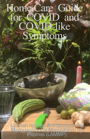# NO HOME CARE GUIDE Home Care Guide for COVID and COVID-like Symptoms

**<sup>L</sup>**ipunan ng mga **A**ntroposopikong **M**anggagamot at **M**anghihilom ng **P**ilipinas (LAMMP)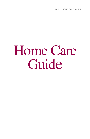LAMMP HOME CARE GUIDE

# Home Care Guide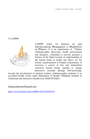#### © LAMMP



LAMMP stands for **L**ipunan ng mga **A**ntroposopikong **M**anggagamot at **M**anghihilom ng **P**ilipinas. It is an organization of Filipino Anthroposophic physicians, health professionals and therapists, committed to actively promote a Science of the Spirit towards an understanding of the human being in health and illness for the holistic transformation of Filipino communities. It envisions a society of free and independent conscious human beings enabled to change themselves inwardly through Self-knowledge

towards the development of spiritual wisdom. Anthroposophic medicine is an accredited health system under Department of Health- Philippine Institute of Traditional and Alternative Health Care (DOH-PITAHC).

[lammp.anthromed@gmail.com](mailto:lammp.anthromed@gmail.com)

https://www.facebook.com/LAMMP-102535738678159/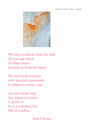#### LAMMP HOME CARE GUIDE



We must eradicate from the soul all fear and terror of what comes towards us from the future.

We must look forward with absolute equanimity to whatever comes, and

we must think only that whatever comes is given us by a world direction full of wisdom.

- Rudolf Steiner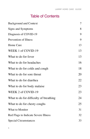# Table of Contents

| <b>Background and Context</b>          |    |
|----------------------------------------|----|
| Signs and Symptoms                     | 8  |
| Diagnosis of COVID-19                  | 9  |
| Prevention of Illness                  | 9  |
| Home Care                              | 13 |
| WEEK 1 of COVID-19                     | 13 |
| What to do for fever                   | 13 |
| What to do for headaches               | 16 |
| What to do for colds and cough         | 18 |
| What to do for sore throat             | 20 |
| What to do for diarrhea                | 22 |
| What to do for body malaise            | 23 |
| WEEK 2 of COVID-19                     | 23 |
| What to do for difficulty of breathing | 24 |
| What to do for chesty coughs           | 25 |
| What to Monitor                        | 31 |
| Red Flags to Indicate Severe Illness   | 32 |
| <b>Special Circumstances</b>           | 33 |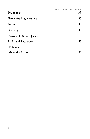|                              | LAMMP HOME CARE GUIDE |    |
|------------------------------|-----------------------|----|
| Pregnancy                    |                       | 33 |
| <b>Breastfeeding Mothers</b> |                       | 33 |
| Infants                      |                       | 33 |
| Anxiety                      |                       | 34 |
| Answers to Some Questions    |                       | 37 |
| Links and Resources          |                       | 39 |
| References                   |                       | 39 |
| About the Author             |                       | 41 |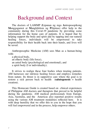# Background and Context

The doctors of LAMMP (**L**ipunan ng mga **A**ntroposopikong **M**anggagamot at **M**anghihilom ng **P**ilipinas) offer help to the community during this Covid-19 pandemic by providing some information for the home care of patients. It is hoped that by helping support the body and spirit and by tapping into our natural healing forces, individuals will be empowered to take responsibility for their health back into their hands, and lives will be saved.

Anthroposophic Medicine (AM) sees Man as a human-being with:

a physical body, an etheric body (life force), an astral body (psychological and emotional), and a spirit body (I or individuality).

It strives to realign these four bodies when treating patients. AM harnesses our intrinsic healing forces and employs remedies from nature. Its thrust is in supportive care where the goal is to restore a sick person back to health (**salutogenesis** = health creation).

This Homecare Guide is created based on clinical experiences of Philippine AM doctors and therapists that proved to be helpful during the pandemic. AM medical professionals from Europe, Asia, Australia, and the Americas also reported positive results using the various AM treatment modalities reflected here. It is with deep humility that we offer this to you in the hope that you will feel empowered and in the process, help empower others.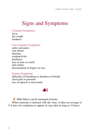# Signs and Symptoms

Common Symptoms:

fever dry cough tiredness

#### Less Common Symptoms:

aches and pains sore throat diarrhea conjunctivitis headache loss of taste or smell skin rashes discoloration of fingers or toes

#### Serious Symptoms:

difficulty of breathing or shortness of breath chest pain or pressure loss of speech or movement

# JS

Mild illness can be managed at home. When someone is infected with the virus, it takes an average of 5–6 days for symptoms to appear (it may take as long as 14 days).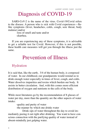# Diagnosis of COVID-19

SARS-CoV-2 is the name of the virus. Covid-19/Covid refers to the disease. A person who is sick with Covid experiences—flulike symptoms (fever, headaches, colds, cough, sore throat, body malaise) and/or

-loss of smell and taste and/or -diarrhea.

If you are experiencing any of these symptoms, it is advisable to get a reliable test for Covid. However, if this is not possible, these health care measures will get you through the illness just the same.

# Prevention of Illness

# Hydration

It is said that, like the earth, 3/4 of the human body, is composed of water. In our childhood, our grandparents would remind us to drink enough water especially in times of fever, cough, and colds. Water dissolves impurities and toxins which burden our body. It assists in better circulation. And, with this comes more efficient distribution of oxygen and nutrients to the cells of the body.

While most literatures go by the recommendation of 8 glasses of water per day, more than the quantity are the other aspects of water intake:

-quality and purity of water

-the manner by which one drinks water

 Drink sips of water throughout the day to avoid immediately peeing it out right after drinking. You want to have conscious connection with the purifying quality of water instead of absent-mindedly just gulping water.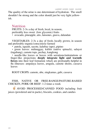The quality of the urine is one determinant of hydration. The smell shouldn't be strong and the color should just be very light yellowish.

### Nutrition

FRUITS: 2-3x a day of fresh, local, in season, preferably less sweet (low glycemic) fruits • avocado, pineapple, atis, lansones, guava, dalandan

VEGETABLES: 2-3x a day of fresh, locally grown, in season and preferably organic/consciously-farmed

• patola, squash, sayote, kalubay (upo), pipino

• green leaves: malunggay, kulitis (native spinach), saluyot (tugabang), camote tops, pechay, kangkong

• needle-like leaves or leaves with serrations/indentations or finger-like projections **deeply integrate light and warmth forces** into their leaf formation which are profoundly-helpful in flu illnesses: ampalaya leaves, arugula, camote shoots, cassava leaves

ROOT CROPS: camote, ube, singkamas, gabi, cassava

#### FISH, NATIVE OR FREE-RANGE/PASTURE-RAISED CHICKEN, PORK OR BEEF: 1-2 times a week

**EN AVOID PROCESSED/CANNED FOOD including fruit** juices (powdered and in packs), biscuits, cookies, and candies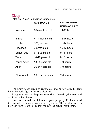### Sleep (National Sleep Foundation Guidelines)

|                    | <b>AGE RANGE</b>     | <b>RECOMMENDED</b>    |
|--------------------|----------------------|-----------------------|
|                    |                      | <b>HOURS OF SLEEP</b> |
| Newborn            | $0-3$ months<br>-old | $14-17$ hours         |
|                    |                      |                       |
| Infant             | 4-11 months old      | 12-15 hours           |
| <b>Toddler</b>     | 1-2 years old        | 11-14 hours           |
| Preschool          | 3-5 years old        | 10-13 hours           |
| School-age         | 6-13 years old       | 9-11 hours            |
| Teen               | 14-17 years old      | 8-10 hours            |
| <b>Young Adult</b> | 18-25 years old      | 7-9 hours             |
| Adult              | 26-64 years old      | 7-9 hours             |
|                    |                      |                       |
| Older Adult        | 65 or more years     | 7-8 hours             |

The body needs sleep to regenerate and be revitalized. Sleep helps the body fight infectious diseases.

Long-term lack of sleep increases risk of obesity, diabetes, and cardiovascular diseases.

Sleep is required for children to grow properly. Children need to rise with the sun and wind down by sunset. The ideal bedtime is between 8:00 - 9:00 PM as this follows the natural biorhythm.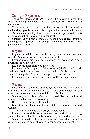#### Sunlight Exposure:

The sun's ultraviolet B (UVB) rays hit cholesterol in the skin cells, providing the energy for the synthesis of vitamin D (a hormone).

Vitamin D is necessary for the immune system. It is crucial in the building up of bones and other important processes in the body.

To maintain healthy blood levels, aim to get about 10-30 minutes of sunlight, several times per week.

Sunlight helps boost a chemical in the brain called serotonin which gives a person more energy and helps him keep calm, positive, and focused.

#### Rhythm

Regular schedules for meals, sleep, indoor and outdoor activities/ exercise are necessary for good health.

Regular meals aid in good digestion and promoting proper nourishment of the body.

Regular bed-time promotes good sleep.

Regular exercise or purposeful movement (ideally in a fresh air environment) helps to warm and strengthen the body, improve circulation, regulate food intake and promote good sleep.

Regular activities promote a sense of well-being and calmness.

#### Warmth

Susceptibility to disease-causing germs increases when one is wet and cold. When our body has to expend extra energy to keep warm, less energy is available to fight off infections.

When staying in places which are too cold (like air conditioned offices or malls) wear warm clothing.

Dress in layers during cold weather.

Limit the use of air-conditioning at home especially in cold weather.

Avoid intake of ice-cold beverages or cold food.

Emotional warmth is just as important as physical warmth: hug your children and family members — share your physical warmth.

Whenever possible, in consideration of reasonable restriction rules, hold small family gatherings to nourish warm connections.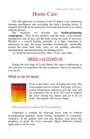# Home Care

The AM approach to treating Covid-19 illness is by enhancing immune intelligence and activating the body's healing forces. It supports the body in lessening the viral load and assists it in coping with the disease.<br>The measures

we describe are **health-promoting** (**salutogenic**).They do not interfere with the body's own defense mechanisms and in fact, aid the body along the path of recovery. Rhythm is a crucial healing principle, it is thus, important to administer or take the home remedies rhythmically—preferably around the same time daily since we are guiding, educating, strengthening, and harmonizing our healing forces:

e.g. drink the decoction at 6am, 9am, 12 am, 3pm, 6pm.

# WEEK 1 of COVID-19

During the first stage of Covid illness, the virus is replicating in our cells and we experience flu-like symptoms. These are measures you can do…

### What to do for fever



Fever is the body's way of killing the virus. The virus cannot survive in heat. The body will set a central temperature needed to kill the virus and we experience this as fever. It is best to support the fever during the illness and let it do its work. The patient will recover faster.

These are ways to address the fever naturally…

Calamansi is suitable for relieving fever, with or without accompanying agitation, dazed feeling, headaches or circulatory weakness. If the patient feels hot and flushed, cool down the periphery to guide the fever outwards. Many different external applications can be used.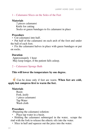#### 1 – Calamansi Slices on the Soles of the Feet

#### **Materials**

2 pieces calamansi Knife for cutting Socks or gauze bandages to fix calamansi in place

#### **Procedure**

• Cut calamansi into half.

• Put half of the calamansi on each arch of the foot and under the ball of each foot.

• Fix the calamansi halves in place with gauze bandages or put on socks.

#### **Duration**

 Approximately 1 hour May keep longer, if the patient falls asleep.

#### 2 – Calamansi Sponge Bath

#### **This will lower the temperature by one degree.**

! Can be done only if feet are warm. **When feet are cold, apply hot compress first to warm the feet.**

#### **Materials**

Basin Fork, knife 1 piece calamansi Tap Water Wash cloth

#### **Procedure**

-Preparing the calamansi solution:

• Place tap water in a basin.

• Holding the calamansi submerged in the water, scrape the rind with the fork to release the etheric oils into the water.

• Slice in half and squeeze out the juice into the water.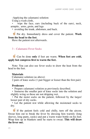-Applying the calamansi solution:

Using a wash cloth,

wipe the face, ears (including back of the ears), neck, armpits, arms, groin, and legs

• avoiding the trunk, abdomen, and back.

! Pat dry. Immediately dress and cover the patient. **Work from the head to the feet**.

Have the patient rest afterwards.

#### 3 – Calamansi Fever Socks

#### ! Can be done **only** if feet are warm. **When feet are cold, apply hot compress first to warm the feet.**

Note: You can also use fever socks to draw the heat from the head to the feet.

#### **Materials**

Calamansi solution (as above)

2 pairs of knee socks (1 pair bigger or looser than the first pair)

#### **Prodecure**

• Prepare calamansi solution as previously described.

• Immerse the smaller pair of knee socks into the solution and slightly wring so these are not dripping wet.

• Put the moist socks on the patient, followed by the larger/ looser pair of dry socks.

• Let the patient rest while allowing the moistened socks to dry.

If the patient feels cold and chilly, turn off the aircon. Sweat him out to break the fever by dressing him warmly (long sleeves, long pants, socks) and put a warm water bottle on his feet. Wrap him up in blankets until he starts to sweat. **This will draw the fever out.**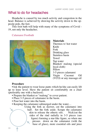### What to do for headaches

Headache is caused by too much activity and congestion in the head. Balance is achieved by drawing the activity down to the opposite pole, the feet.

This foot bath will help with many of the symptoms of Covid - 19, not only the headaches.

#### Calamansi Footbath



#### **Materials**

Thermos w/ hot water Knife Fork Drinking glass Stainless basin Towel Tap water Blanket/ malong (special local cloth) Pillow 3-5 pieces calamansi Virgin Coconut Oil (VCO) or any massage oil

#### **Procedure**

•Ask the patient to wear loose pants which he/she can easily lift up to knee level. Have the patient sit comfortably on a chair (preferably one with a backrest).

- Prepare the blanket or "malong" to cover patient.
- Place 3-5 pieces of calamansi in the basin.
- Pour hot water into the basin.
- Keeping the calamansi submerged under the water…

Using the fork as skewer, cut the calamansi into half. Set the fork aside. Scrape the calamansi skin to release the etheric oils. Nick/cut the sides of the rind radially in 3-5 pieces (see figure) forming a star-like figure, so when one presses down on the calamansi (with the base of glass), more essential oils and juice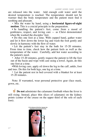are released into the water. Add enough cold water until the desired temperature is reached. The temperature should not be warmer than the body temperature and the patient must find it soothing and pleasant.

• Mix the water by hand, using a **horizontal figure-of-eight motion**. This is a crucial principle in the preparation.

• In handling the patient's feet, come from a mood of gentleness, respect, and loving care — as Christ demonstrated when He washed the disciples' feet.

• Do this one foot at a time. With cupped hand, gather water and let it flow down the lower leg and wash the foot gently and slowly in harmony with the flow of water.

• Let the patient's feet stay in the bath for 15-20 minutes. From time to time, check how the patient feels as well as the temperature of the water. Carefully, add hot water according to the patient's need.

• After 15-20 minutes, gently request the patient to lift the foot out of the basin and wipe with care using a towel. Again, do this one foot at a time.

•With loving care, apply oil down the leg to the calf, ankle, foot and toes. Do this for both legs, one leg at a time.

• Let the patient rest in bed covered with a blanket for at least 15-20 minutes.

Note: If warranted, wear personal protective gear (face mask, gown, etc.

**Do not** administer the calamansi footbath when the fever is still rising. Instead, place thin slices of calamansi on the kidney points (center of the crease on the upper third of the sole of each foot).

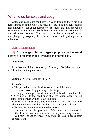### What to do for colds and cough

Colds and cough are the body's way of trapping the virus and removing it from the body. The virus gets stuck in the sticky mucus and phlegm of the upper respiratory passages and thus prevented from entering the lungs. Gently blowing the nose and coughing it out help clear the virus. You can assist in the drainage of mucus and phlegm by irrigating the nose and sinuses and by doing steam inhalation.

#### Nasal wash/irrigation

**E** For younger children, age-appropriate saline nasal sprays are recommended (available in pharmacies).

#### **Materials**

Plain Normal Saline Solution (NSS) - very affordable, available as 1 L bottles in the pharmacy or

Optional: Virgin Coconut Oil (VCO)

#### **Procedure**

• The procedure has to be done over the sink/lavatory.

• Close one nostril by pressing with a finger.

• Using your cupped hand or a shallow bowl to contain the NSS solution, tilt the head such that the other (open) nostril comes into contact with the NSS solution.

• Sniff the NSS strongly into the open nostril. The fluid will irrigate the sinuses and flow out into the mouth, spit this out.

• Repeat the procedure for the other nostril.

• One can repeat the procedure 2-3x more on each nostril. Gently blow the nose afterwards to clear any remaining mucus.

• You may choose to smear VCO onto the nasal mucosa after the nasal wash.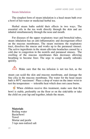#### Steam Inhalation

The simplest form of steam inhalation is a head steam bath over a bowl of hot water or medicinal herbal tea.

Herbal steam baths unfold their effects in two ways. The essential oils in the tea work directly through the skin and are inhaled simultaneously through the nose and mouth.

For diseases of the upper respiratory tract and bronchial tubes, steam inhalation has an anti-inflammatory and decongestant effect on the mucous membranes. The steam moistens the respiratory tract, dissolves the mucus and works up to the paranasal sinuses. The active ingredients in the steam alleviate headaches caused by a cold due to congestion in the nostrils and paranasal sinuses. The swelling of the mucous membranes then decreases allowing breathing to become freer. The urge to cough usually subsides quickly.

 $\sqrt{\frac{1}{\sqrt{1}}}$  Make sure that the tea infusion is not too hot, as the

steam can scald the skin and mucous membrane, and damage the fine cilia in the mucous membrane. The water for the head steam bath is 80°C maximum! Place a drop of water on the inner wrist to test the temperature — tolerable heat which does not cause burns.

! When children receive this treatment, make sure that the bowl is stable, preferably on the floor or on the sink/table or take the child on your lap and together, inhale the steam.

**Materials** Boiling water Basin/bowl Towel Mortar and pestle 3 tsps non-iodized salt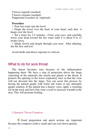9 leaves lagundi (mashed) 9 leaves oregano (mashed) Peppermint essential oil (optional)

#### **Procedure**

• Pour hot water into the bowl.

• Drape the towel over the back of your head, such that it hangs over the bowl.

• Set a timer for 3-5 minutes. Close your eyes, and carefully lower your head toward the hot water until it is about 8 to  $12$ inches away.

• Inhale slowly and deeply through your nose. After inhaling, dry the face and rest.

Avoid drafts and direct exposure to cold air.

# What to do for sore throat

The throat becomes sore because of the inflammation happening there. We have a ring of protection above the lungs consisting of the adenoids, the tonsils and glands in the throat. It protects the opening to the lower respiratory tract so that the virus will not descend into the lungs. You can assist this process by having the patient gargle with warm salt water or any antiseptic gargle solution. If the patient has a hoarse voice, apply a warming oil on the neck and have him wear a scarf to increase warmth in the area. This will promote healing.

#### Calamansi Throat Compress

! Good preparation and quick actions are important because the compress cloth is small and can cool down quickly.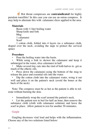! Hot throat compresses are **contraindicated** for highly purulent tonsillitis! In this case you can use an onion compress. It may help to alternate this with calamansi slices applied to the area.

#### **Materials**

Basin with ½ liter boiling water Sharp knife und fork Mug 1 calamansi Scarf

1 cotton cloth, folded into 4 layers (as a substance cloth, draped over the neck, avoiding the nape to protect the cervical spine)

#### **Procedure**

• Pour the boiling water into the basin.

While using a fork to skewer the calamansi and keep it submerged in the water, slice calamansi in half.

Make several tiny cuts into the rind of both halves to get as much of the etheric oils.

Press down the calamansi using the bottom of the mug to release the juice and essential oils into the water.

• Dip the cotton cloth into the calamansi water, wring it out well and place it on the patient's neck (avoid the bones at the back of the neck).

Note: The compress must be as hot as the patient is able to tolerate without burning the skin.

• Immediately wrap the scarf around the patient's neck.

Let the patient rest in bed for half an hour, then remove the substance cloth (cloth with calamansi solution) and leave the scarf in place. Allow patient to rest for another 30 minnutes.

#### Gargle

Gargling decreases viral load and helps with the inflammation. Choose any of the two solutions listed below: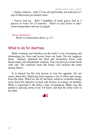• Saline solution - Add 1/2 tsp salt (preferably not iodized) to 1 cup of lukewarm pre-boiled water

• Guava leaf tea - Boil 3 handfuls of fresh guava leaf in 2 glasses of water for 15 minutes. Allow to cool down to lukewarm temperature and use as gargle.

#### Steam Inhalation

Refer to instructions above, p. 21.

### What to do for diarrhea

Both vomiting and diarrhea are the body's way of purging and eliminating the virus and toxins from our body. Do not suppress these. Instead, replenish the fluid and electrolyte losses with home-made oral rehydration solution. You can also give bone broth with salt. The minerals from the bones will nourish the body during illness.

It is natural for the sick person to lose his appetite. Do not worry about this. Digesting food requires a lot of effort and energy from the body. When we are ill, the body redirects available energy away from the digestive system and focuses its energy on healing. What is important is the body's state of hydration. Make sure the patient is passing urine every 4-6 hours and that the urine color is not dark.

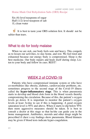LAMMP HOME CARE GUIDE Home-Made Oral Rehydration Salts (ORS) Recipe

Six (6) level teaspoons of sugar Half (1/2) level teaspoon of salt 1L clean water

It is best to taste your ORS solution first. It should not be saltier than tears.

### What to do for body malaise

When we are sick, our body feels sore and heavy. This compels us to lessen our activities, to stay home, and rest. We feel tired and exhausted because our energy body is compromised. Sleep is the best medicine. Our body repairs and heals itself during sleep. Listen to your body and follow its cues. REST!

### WEEK 2 of COVID-19

Patients who have compromised immune system or who have co-morbidities like obesity, diabetes, cardiovascular problems, etc. sometimes progress to the second stage of the Covid-19 illness called the **hyper-inflammatory stage**. This is when pneumonia starts to develop and blood clots form in the blood vessels thereby compromising the circulation. Because of this, the patient's oxygen levels go down. It is important to monitor the patient's oxygen levels at least 3x/day to see if this is happening. A good oxygen saturation level is 95% and above. When it starts to dip below 95% then more aggressive measures should be taken. It is best to consult a doctor at this stage so that he/she can guide you in the home management. Antibiotics, steroids and other drugs might be prescribed if chest x-ray findings show pneumonia. Blood thinners may be given if blood tests indicate hyper-coagulation.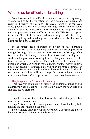### What to do for difficulty of breathing

We all know that COVID-19 causes infection in the respiratory system, leading to the formation of large amounts of mucus that result in difficulty of breathing. In severe infection, it can even cause pneumonia that can damage the lung tissues. This makes it crucial to take the necessary step to strengthen the lungs and clear the air passages when suffering from COVID-19 and postinfection. One of the easiest and surest ways to do this is by performing lung and breathing exercises, which are also known as **chest pulmo-physiotherapy**.

If the patient feels shortness of breath or has increased breathing effort, several breathing techniques can be employed to engage the lungs fully and optimize oxygenation in the lungs. One is to have him lie tummy down with a pillow under the hip area. Additionally, position arms away from the body and hands over the head or under the forehead. This will allow for better lung expansion which can bring in more oxygen. Another way is to have him blow against resistance. This will open up more segments of the lungs. Warm moist air is easier to breathe in than cold dry air so steam inhalation will also help. In cases where oxygen saturation is below 95%, supplemental oxygen may be necessary.

#### Diaphragmatic or Abdominal Breathing

This involves completely engaging the abdominal muscles and diaphragm when breathing. It helps to slow down the heart rate and stabilize blood pressure.

Step 1: Lie down flat on the floor or the bed with a pillow beneath your knees and head.

Step 2: Relax your shoulders, put one hand above the belly button and the other hand on the chest.

Step 3: Inhale through your nose for about 2 seconds and notice how your stomach inflates as you breathe in.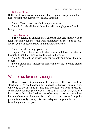#### Balloon Blowing

Balloon blowing exercise enhance lung capacity, respiratory function, and improve respiratory muscle strength.

Step 1: Take a deep breath through your nose.

Step 2: Exhale all the air into the balloon, trying to inflate it as best you can.

#### Straw Exercise

Straw exercise is another easy exercise that can improve your lung function when suffering from respiratory distress. For this exercise, you will need a straw and half a glass of water.

Step 1: Inhale through your nose.

Step 2: Place the straw into the mouth and blow out the air through it such that bubbles are formed in the water.

Step 3: Take out the straw from your mouth and repeat the pro-<br>cedure.

Step 4: Each time, increase intensity in blowing to create bigger water bubbles.

### What to do for chesty coughs

During Covid-19 pneumonia, the lungs are filled with fluid instead of air. We need to drain the fluid out so that oxygen can go in. One way to do this is to assume this position: on your knees, assume prone position (belly down), lift butt up, lower head, and use hands to cushion the forehead. Another way is to introduce heat into the chest area. A ginger chest and back compress will help the patient immensely. Doing this once a day will help him/her recover from the pneumonic process.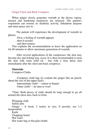#### Ginger Chest and Back Compress

When ginger slowly generates warmth in the thorax region, tension and hardening tendencies are released. The patient's respiration can resume its rhythmic activity. Inhalation deepens and inner peace sets in.

The patient will experience the development of warmth in phases:

-First, a feeling of warmth appears

-then it recedes

-and then returns.

This explains the recommendation to leave the application on for 40 minutes to allow maximum generation of warmth.

After several applications of the compresses, the skin may become dry and itching may occur. It is then recommended to treat the skin with some mild oil – but with a time delay (not immediately after the chest and back compress).

#### **Materials**

Compress Cloths

-Compress cloth bag (to contain the ginger like an pouch, about the size of the upper back)

-Intermediate cloth\* – cotton or flannel -Outer cloth\* – de lana or wool

\*Note: Both pieces of cloth should be long enough to go all around the chest area, back to front.

Wringing cloth Safety pins Ginger – if fresh, 2 inches in size; if powder, use 1-2 teaspoonfuls Knife Chopping board Hot water Hot water bag or flat glass bottle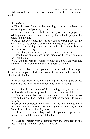Gloves, optional, in order to efficiently hold the hot substance cloth

#### **Procedure**

• This is best done in the morning as this can have an awakening and invigorating effect.

• Do the calamansi foot bath first (see procedure on page 18). While patient's feet are soaked during the footbath, prepare the cloths and the ginger.

• Place the outer cloth first on the bed approximately on the chest level of the patient then the intermediate cloth over it.

• If using fresh ginger, cut this into thin slices, then place in the compress cloth bag.

• Pound the ginger in the bag until the juice comes out.

• Place the compress cloth in the middle of the wringing cloth then roll this up.

• Put the part with the compress cloth in a bowl and pour hot water on it. Let it stay immersed for at least 5 minutes.

After the footbath, let the patient lie on the bed with his upper back on the prepared cloths and cover him with a blanket from the shoulders to the feet.

• Place hot water in the hot water bag or the flat glass bottle. Make sure the lids are secured tightly to avoid scalding.

• Grasping the outer ends of the wringing cloth, wring out as much of the hot water as possible from the compress cloth.

• With the patient lying on his side, gently apply the compress cloth on the upper back, making sure that the warmth is tolerable for him.

• Cover the compress cloth first with the intermediate cloth then with the outer cloth, both cloths going all the way to the front. Secure these with safety pins.

• Place the hot water bag under the patient's upper back making sure that the warmth is tolerable.

• Cover the patient with a blanket from the shoulders to the feet. Let the patient rest for 20-30 minutes.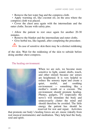• Remove the hot water bag and the compress cloth.

• Apply warming oil, like coconut oil, on the area where the compress cloth was placed.

• Cover the chest area again with the intermediate and the outer cloths. Secure with safety pins.

• Allow the patient to rest once again for another 20-30 minutes.

- Remove the blanket and the intermediate and outer cloths.
- Give herbal tea, like lagundi, after completing the procedure.

In case of sensitive skin there may be a distinct reddening

of the skin. Wait for the reddening of the skin to subside before doing another chest compress.

The healing environment:



When we are sick, we become more sensitive to light, sound, drafts, touch, and other stimuli because our senses are heightened. It is very helpful to reduce the sensory input and create a quiet, restful, and soothing environment — something like a mother's womb or a cocoon. The environment should promote healing. Phones, gadgets, TV (especially the news!) will stimulate the body and unnecessarily clutter the mind and should therefore be avoided. The little energy the patient has should be reserved for rest and repair. Activities

that promote our body's healing forces are art, music (ideally from real musical instruments) and meditation. They help heal the body, soul and spirit.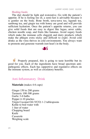#### Healing foods:

The diet should be light and restorative. Go with the patient's appetite. If he is feeling too ill, a semi-fast is advisable because it is gentler on the body. Bone broth, tawa-tawa tea, lagundi tea, sambong tea, and ginger tea with honey are good and will provide sufficient hydration. Once the patient's appetite returns, you can give solid foods that are easy to digest like lugao, arroz caldo, chicken noodle soup, and fruits like bananas. Avoid sugary foods which make the immune cells sluggish and dairy products which make the phlegm extra sticky and difficult to expel. Avoid cold drinks as the virus thrives in cold environments. You always want to promote and generate warmth (not heat!) in the body.



Properly prepared, this is going to taste horrible but its good for you. Each of the ingredients have broad spectrum antipathogenic effects. Each has supportive and regulative effects on the immune system, as well as circulatory benefits.

#### Anti-Inflammatory Drink

**Materials** (makes 4-6 cups)

Ginger 150 to 200 grams Turmeric 100-300 grams Garlic 3-6 bulbs Pepper 4-10 pinches Virgin Coconut Oil (VCO) 1-2 tablespoons Kettle to boil water with 1 liter of water Chopping board Knife Casserole Weighing scale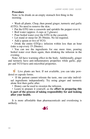#### **Procedure**

Note: to be drunk on an empty stomach first thing in the morning.

• Wash all plants. Chop, then pound ginger, turmeric and garlic (GTG). No need to remove the skin.

- Put the GTG into a casserole and sprinkle the pepper over it.
- Boil water (approx. 4 cups or 3 glasses)
- Pour boiled water over the GTG in the casserole.
- Let stand or steep for 20-30mins. No lid required.
- Add a spoon or two of VCO.

• Drink the entire GTGp-c infusion within less than an hour (take a cup every 15-20mins).

• You can use the ingredients for one more time, pouring boiled water over them again, then drinking the infusion in the evening.

Note: All have warming effect in the body. Additionally, ginger and turmeric have anti-inflammatory properties while garlic, pepper and VCO have anti-microbial properties.

Live plants are best. If not available, you can take powdered or capsule forms.

• If the patient cannot tolerate the taste, one can take individual ingredients independently. Try using ginger and turmeric alone first then garlic after.

• Honey can be used to sweeten the infusion.

• Learn to prepare it yourself, as the **effort in preparing this is part of the process of taking responsibility for and looking after your health.** 

It is more affordable than pharmaceuticals and overdosing is unlikely.

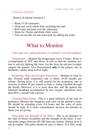#### Calamansi Infusion

(Source of natural vitamin C)

- Wash 15-20 calamansi.
- Chop and crush whole fruit, including the rind.
- Boil water and pour over the calamansi.
- Steep for 15mins and drink while warm.
- You can use this for one more time by adding hot water.

# What to Monitor

#### Vital signs are a good indicator of a patient's over-all condition.

Temperature - Monitor the temperature every 4 hours. Fever is a temperature of 38ºC and above. It tells us that the immune system is actively fighting the virus. Let the fever be and just lovingly support the patient. Give Paracetamol **only** if the patient, due to headache, cannot sleep well at night.

Respiratory Rate and Oxygen Saturations - Monitor at least 3x day. Normal adult respiratory rate is about 18-20 breaths per minute. During fever, it is still normal for the respiratory rate to increase to about 30 per minute as heat is being expelled through the breath. However, if it is more than this, and the patient has laboured breathing accompanied by low oxygen saturations (less than 95%), consult with a doctor.

Urination/Micturition - This is a good indicator of the state of hydration. Monitor the frequency and color of the patient's urine. He should be urinating every  $4-6$  hours and the color of urine should be light. If it looks concentrated, increase the amount of fluids you are giving.

Pulse Rate and Strength of the Pulse - This is an indicator of the state of blood circulation and the strength of the heart. A normal pulse ranges between 60-100 beats per minute. During fever it can go higher. The pulse should be easy to detect. If it feels weak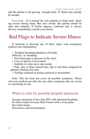and the patient is not passing enough urine, IV fluids may already be needed.

Sensorium - It is normal for sick patients to sleep more. Heal-<br>ing occurs during sleep. But once awake, the patient should be alert and oriented. If he/she appears confused and is always drowsy, immediately consult your doctor.

# Red Flags to Indicate Severe Illness

If someone is showing any of these signs, seek emergency medical care immediately:

- Troubled breathing/shortness of breath/ difficulty in breathing
- Persistent pain or pressure in the chest
- Loss of speech or movement
- Inability to wake up or stay awake

• Pale, gray or blue-colored skin, lips or nail beds compared to patient's normal skin tone

• Feeling confused or acting confused or disoriented

Note: This list does not cover all possible symptoms. Please call your medical provider for any other symptoms that are severe or concerning to you.

### When to refer for possible hospital admission

Oxygen saturation of less than 95% with laboured breathing No urine output for more than 8 hours with a weak pulse Poor fluid intake Drowsiness and disorientation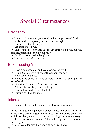# Special Circumstances

# **Pregnancy**

- Have a balanced diet (as above) and avoid processed food.
- Walk outdoors enjoying fresh air and sunlight.
- Nurture positive feelings.
- Set aside quiet time.

• Make time for enjoyable tasks: gardening, cooking, baking, knitting, preparing for baby's layette.

- Avoid crowded and noisy places.
- Have a regular sleeping time.

# Breastfeeding Mothers

- Have a balanced diet and avoid processed food.
- Drink 2.5 to 3 liters of water throughout the day —slowly, not in gulps.

• Spend time outdoors, have sufficient amount of sunlight and lots of fresh air.

- Find time for yourself and take time to rest.
- Allow others to help with the baby.
- Devote time to do enjoyable tasks.
- Nurture positive feelings.

### Infants

• In place of foot bath, use fever socks as described above.

• For infants with phlegmy cough, place the child in an inclined prone position (tummy towards the floor, head down and with lower body elevated), do gentle tapping<sup>\*</sup> or thumb massage on the back-of-the-chest area. This will help them expectorate the phlegm.

\*Note: Avoid tapping the vertebrae or spinal bones!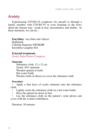# Anxiety

Experiencing COVID-19 symptoms for oneself or through a family member with COVID-19 or even listening to the news about the disease may result in fear, uncertainties and doubts. In these moments, we can do…

**Eurythmy** (see links and videos) Halleluiah Calming Sequence DFGKHR Eurythmy Laughter HA

#### **External treatments**

Oxalis Solar Plexus Compress

#### **Materials**

Substance cloth, 12 x 12 cm Oxalis 10% ointment Wooden spatula or knife Hot water bottle Woolen cloth (or fleece) to cover the substance cloth

#### **Procedure**

• Apply a thin layer of oxalis ointment onto the substance cloth.

- Lightly warm the substance cloth on a hot water bottle.
- Have the patient lie down in bed.

Lay the substance cloth on the patient's solar plexus and cover with the woolen cloth/fleece.

Duration: 30 minutes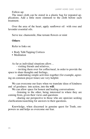Follow-up:

The inner cloth can be stored in a plastic bag for repeated applications. Add a little more ointment to the cloth before each treatment.

Over the area of the heart, apply sunflower oil with rose and lavender essential oils.

Serve tea: chamomile, blue ternate flowers or mint

#### **Others**

Refer to links on:

- Body Talk/Tapping Cortices
- Meditation

As far as individual situations allow…

- visiting friends and relatives,

 - inviting them over for coffee/meal, in order to provide the space to share thoughts and feelings,

 - undertaking simple activities together (for example, agreeing on common prayer times) are very helpful.

We can overcome our fears when we translate ideas of kindness and of goodness into action, into the **will**.<br>We can allow space for honest and healing conversations:

-listening to the other, being interested in where they are coming from, given their views and questions

-sharing our perspective to those who are open/are seeking clarifications/searching for answers to their questions.

Knowledge, when discerned in genuine quest for Truth, empowers us and helps us overcome our fear.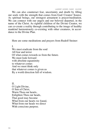We can also counteract fear, uncertainty and doubt by filling our souls with the strength that comes from God/ Creator/ Source. As spiritual beings, our strongest armament is prayer/meditation. We can connect with our angels and our beloved departed, in the name of the Christ. As rightful children of the Divine Creator, we can co-create a reality through contributing to the image of healthy mankind harmoniously co-existing with other creatures, in accordance to the Divine Plan.

Here are some meditations and prayers from Rudolf Steiner:

I. We must eradicate from the soul All fear and terror Of what comes towards us from the future. We must look forward with absolute equanimity to whatever comes And we must think only that whatever comes is given us By a world direction full of wisdom.

II. O Light Divine, O Sun of Christ, Warm Thou our hearts, Enlighten Thou our heads, That good may become What from our hearts we found, What from our heads we direct With conscious purpose.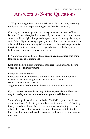LAMMP HOME CARE GUIDE

# Answers to Some Questions

1. **Why?** (Among others: Why the existence of Covid? Why me or my family? What's the deeper meaning of the Covid experience?)

Our body uses up energy when we worry or we are in a state of fear. Breathe. Exhale thoughts that do not help the situation and, in the space created, infill the light of hope and empowerment. You may also imagine waterfalls of light cleansing or purifying the effluvia of the pandemic and other such life-draining thoughts/emotions. It is best to incorporate this imagination with activities you do regularly like right before you take a bath, wash your hands, or brush your teeth.

#### In Anthroposophic medicine, **illness is seen as a messenger that something in us is out of alignment**.

Look into the five pillars of immune intelligence and honestly discern which one needs improvement:

Proper diet and hydration Purposeful movement/exercise preferably in a fresh air environment Rhythm especially sunlight exposure and quality sleep Mental and emotional balance Alignment with God/Source/Universe and harmony with nature

#### If you have not been remiss on any of the five, consider the **illness as a way to reach your unconscious blockages at a cellular level**.

Some of our patients who succumbed to Covid-19 reported that it was during the illness (either they themselves had it or a loved one) that they finally found the elusive forgiveness they have been hoping for. For others, this elusive thing came in the form of ideal weight, factor that broke an addiction, spark needed to preserve a loveless relationship/marriage, etc.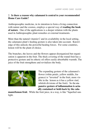#### 2. **Is there a reason why calamansi is central to your recommended Home Care Guide?**

Anthroposophic medicine, in its intention to form a living connection with nature and the cosmos, employs a special way of **reading the book of nature**. One of the applications is a deeper relation with the plants used in Anthroposophic plant remedies or external treatments.

More than the natural vitamin  $C$  and its availability in the local setting, the calamansi plant's healing gesture is also taken into account. Knowledge of this unlocks the powerful healing forces. For some countries, lemon will be the plant of choice.

The branches, the leaves and the flowers appear disorganized but organization is apparent in the fruit. The thick covering of the round fruit has a protective gesture and its etheric oil offers easily-absorbable warmth. The juice of the fruit strengthens and revitalizes the body.



The expanding gesture of the calamansi's flower (white petals, yellow middle, fragrance) is "inverted" in the fruit, more visible in the lemon as it has a yellow rind, whitish divisions of the fruit). So the **expansive gesture of inflammation is actually contained or held-back by the cala-**

**mansi/lemon fruit**. While the fruit juice, in a way, is like "liquefied sunlight.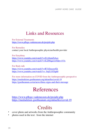# Links and Resources

For External Treatments <https://www.pflege-vademecum.de/projekt.php>

For Remedies contact your local Anthroposophic physician/health provider

For Eurythmy <https://www.youtube.com/watch?v=S1y0omZjAco> <https://www.youtube.com/watch?v=lLZ06qarow0&t=153s>

For Body talk <https://www.youtube.com/watch?v=R7cEnyaxrGk> https://www.youtube.com/watch?v=\_0ojCuYDgh0

For more information on COVID from the Anthroposophic perspective <https://medsektion-goetheanum.org/aktuelles/covid-19> <https://goetheanum.co/en/news/three-signs-and-their-message>

# References

<https://www.pflege-vademecum.de/projekt.php> <https://medsektion-goetheanum.org/aktuelles/covid-19>

# **Credits**

- cover photo and artworks from the Anthroposophic community
- photos used in the text: from the internet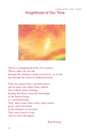### LAMMP HOME CARE GUIDE Knighthood of Our Time



There is a knighthood of the 21st century Whose riders do not ride through the darkness of physical forests, as of old, but through the forest of darkened minds.

They are armed with a spiritual armor, and an inner sun makes them radiant. Out of them shines healing, healing that flows from the knowledge of the human being as a spiritual being. They must create inner order, inner justice, peace, and conviction in the darkness of our time. They must learn to work side by side with angels.

-Karl Koenig